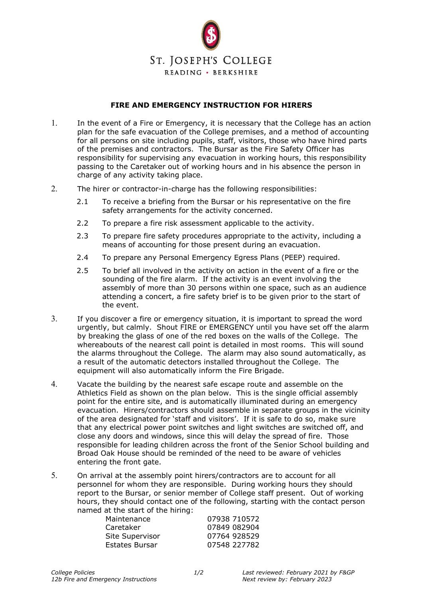

## **FIRE AND EMERGENCY INSTRUCTION FOR HIRERS**

- 1. In the event of a Fire or Emergency, it is necessary that the College has an action plan for the safe evacuation of the College premises, and a method of accounting for all persons on site including pupils, staff, visitors, those who have hired parts of the premises and contractors. The Bursar as the Fire Safety Officer has responsibility for supervising any evacuation in working hours, this responsibility passing to the Caretaker out of working hours and in his absence the person in charge of any activity taking place.
- 2. The hirer or contractor-in-charge has the following responsibilities:
	- 2.1 To receive a briefing from the Bursar or his representative on the fire safety arrangements for the activity concerned.
	- 2.2 To prepare a fire risk assessment applicable to the activity.
	- 2.3 To prepare fire safety procedures appropriate to the activity, including a means of accounting for those present during an evacuation.
	- 2.4 To prepare any Personal Emergency Egress Plans (PEEP) required.
	- 2.5 To brief all involved in the activity on action in the event of a fire or the sounding of the fire alarm. If the activity is an event involving the assembly of more than 30 persons within one space, such as an audience attending a concert, a fire safety brief is to be given prior to the start of the event.
- 3. If you discover a fire or emergency situation, it is important to spread the word urgently, but calmly. Shout FIRE or EMERGENCY until you have set off the alarm by breaking the glass of one of the red boxes on the walls of the College. The whereabouts of the nearest call point is detailed in most rooms. This will sound the alarms throughout the College. The alarm may also sound automatically, as a result of the automatic detectors installed throughout the College. The equipment will also automatically inform the Fire Brigade.
- 4. Vacate the building by the nearest safe escape route and assemble on the Athletics Field as shown on the plan below. This is the single official assembly point for the entire site, and is automatically illuminated during an emergency evacuation. Hirers/contractors should assemble in separate groups in the vicinity of the area designated for 'staff and visitors'. If it is safe to do so, make sure that any electrical power point switches and light switches are switched off, and close any doors and windows, since this will delay the spread of fire. Those responsible for leading children across the front of the Senior School building and Broad Oak House should be reminded of the need to be aware of vehicles entering the front gate.
- 5. On arrival at the assembly point hirers/contractors are to account for all personnel for whom they are responsible. During working hours they should report to the Bursar, or senior member of College staff present. Out of working hours, they should contact one of the following, starting with the contact person named at the start of the hiring:

| Maintenance     | 07938 710572 |
|-----------------|--------------|
| Caretaker       | 07849 082904 |
| Site Supervisor | 07764 928529 |
| Estates Bursar  | 07548 227782 |
|                 |              |